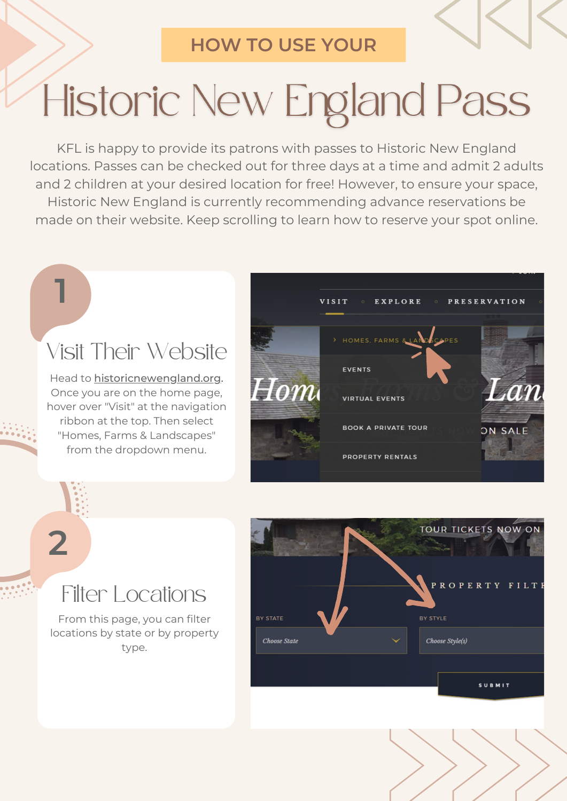#### **HOW TO USE YOUR**

# Historic New England Pass

KFL is happy to provide its patrons with passes to Historic New England locations. Passes can be checked out for three days at a time and admit 2 adults and 2 children at your desired location for free! However, to ensure your space, Historic New England is currently recommending advance reservations be made on their website. Keep scrolling to learn how to reserve your spot online.

## Visit Their Website

**1**

**2**

Head to [historicnewengland.org](http://historicnewengland.org/). Once you are on the home page, hover over "Visit" at the navigation ribbon at the top. Then select "Homes, Farms & Landscapes" from the dropdown menu.



### Filter Locations

From this page, you can filter locations by state or by property type.